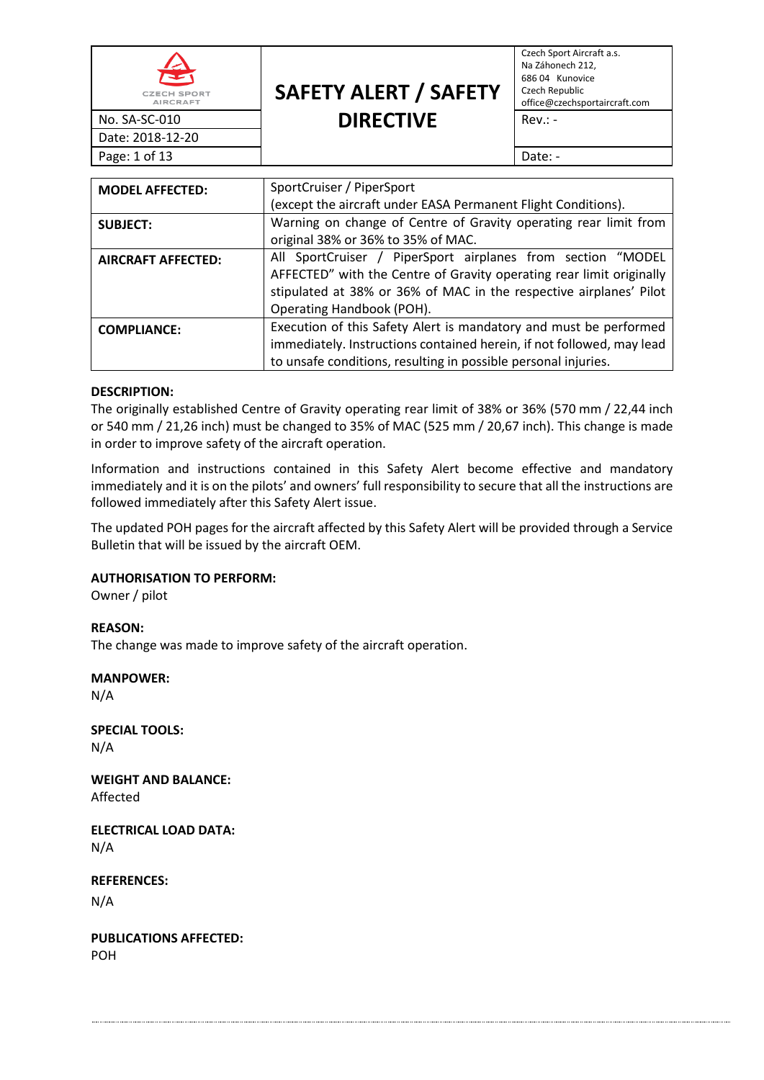| 全<br><b>CZECH SPORT</b><br><b>AIRCRAFT</b> | <b>SAFETY ALERT / SAFETY</b> | Czech Sport Aircraft a.s.<br>Na Záhonech 212,<br>686 04 Kunovice<br>Czech Republic<br>office@czechsportaircraft.com |
|--------------------------------------------|------------------------------|---------------------------------------------------------------------------------------------------------------------|
| No. SA-SC-010                              | <b>DIRECTIVE</b>             | $Rev: -$                                                                                                            |
| Date: 2018-12-20                           |                              |                                                                                                                     |
| Page: 1 of 13                              |                              | Date: -                                                                                                             |

| <b>MODEL AFFECTED:</b>    | SportCruiser / PiperSport                                             |  |  |
|---------------------------|-----------------------------------------------------------------------|--|--|
|                           | (except the aircraft under EASA Permanent Flight Conditions).         |  |  |
| <b>SUBJECT:</b>           | Warning on change of Centre of Gravity operating rear limit from      |  |  |
|                           | original 38% or 36% to 35% of MAC.                                    |  |  |
| <b>AIRCRAFT AFFECTED:</b> | All SportCruiser / PiperSport airplanes from section "MODEL           |  |  |
|                           | AFFECTED" with the Centre of Gravity operating rear limit originally  |  |  |
|                           | stipulated at 38% or 36% of MAC in the respective airplanes' Pilot    |  |  |
|                           | Operating Handbook (POH).                                             |  |  |
| <b>COMPLIANCE:</b>        | Execution of this Safety Alert is mandatory and must be performed     |  |  |
|                           | immediately. Instructions contained herein, if not followed, may lead |  |  |
|                           | to unsafe conditions, resulting in possible personal injuries.        |  |  |

#### **DESCRIPTION:**

The originally established Centre of Gravity operating rear limit of 38% or 36% (570 mm / 22,44 inch or 540 mm / 21,26 inch) must be changed to 35% of MAC (525 mm / 20,67 inch). This change is made in order to improve safety of the aircraft operation.

Information and instructions contained in this Safety Alert become effective and mandatory immediately and it is on the pilots' and owners' full responsibility to secure that all the instructions are followed immediately after this Safety Alert issue.

The updated POH pages for the aircraft affected by this Safety Alert will be provided through a Service Bulletin that will be issued by the aircraft OEM.

#### **AUTHORISATION TO PERFORM:**

Owner / pilot

#### **REASON:**

The change was made to improve safety of the aircraft operation.

#### **MANPOWER:**

N/A

**SPECIAL TOOLS:** N/A

**WEIGHT AND BALANCE:** Affected

**ELECTRICAL LOAD DATA:** N/A

**REFERENCES:**

N/A

**PUBLICATIONS AFFECTED:** POH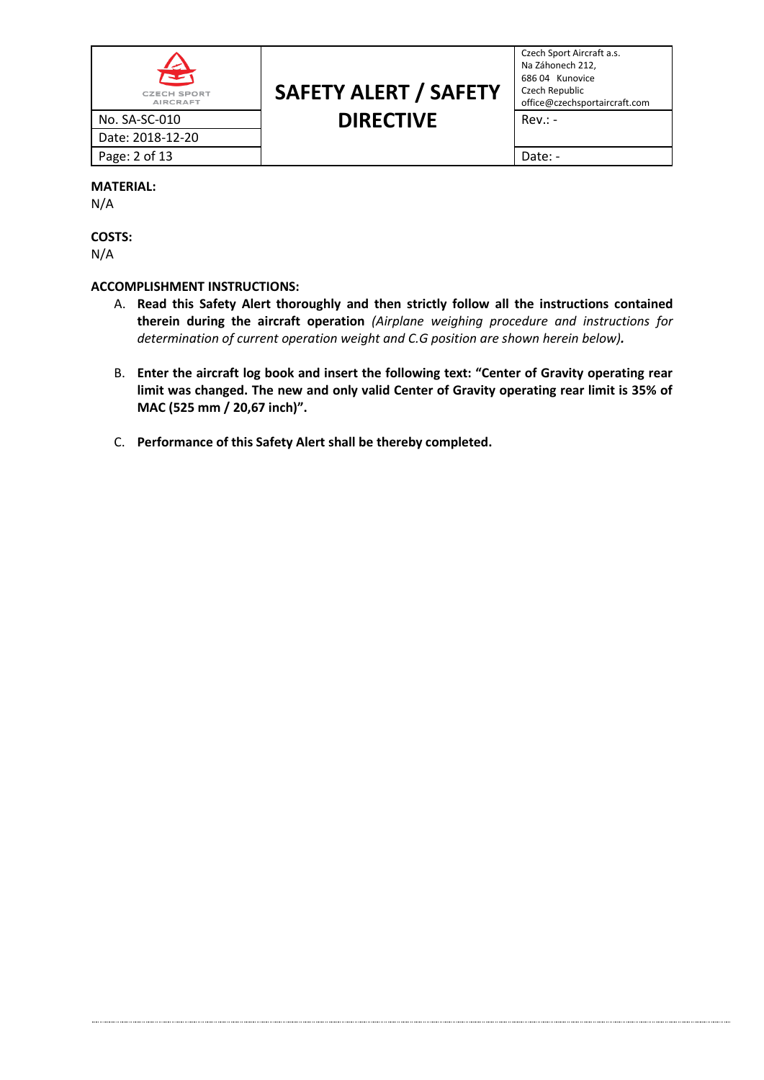| $\blacktriangle$<br><b>CZECH SPORT</b><br><b>AIRCRAFT</b> | <b>SAFETY ALERT / SAFETY</b> | Czech Sp<br>Na Záhor<br>686 04  <br>Czech Re<br>office@c |
|-----------------------------------------------------------|------------------------------|----------------------------------------------------------|
| No. SA-SC-010                                             | <b>DIRECTIVE</b>             | $Rev: -$                                                 |
| Date: 2018-12-20                                          |                              |                                                          |
| Page: 2 of 13                                             |                              | Date: -                                                  |

# **SAFETY ALERT / SAFETY DIRECTIVE** Rev.: -

Czech Sport Aircraft a.s. Na Záhonech 212, 686 04 Kunovice Czech Republic office@czechsportaircraft.com

#### **MATERIAL:**

N/A

**COSTS:** N/A

### **ACCOMPLISHMENT INSTRUCTIONS:**

- A. **Read this Safety Alert thoroughly and then strictly follow all the instructions contained therein during the aircraft operation** *(Airplane weighing procedure and instructions for determination of current operation weight and C.G position are shown herein below).*
- B. **Enter the aircraft log book and insert the following text: "Center of Gravity operating rear limit was changed. The new and only valid Center of Gravity operating rear limit is 35% of MAC (525 mm / 20,67 inch)".**
- C. **Performance of this Safety Alert shall be thereby completed.**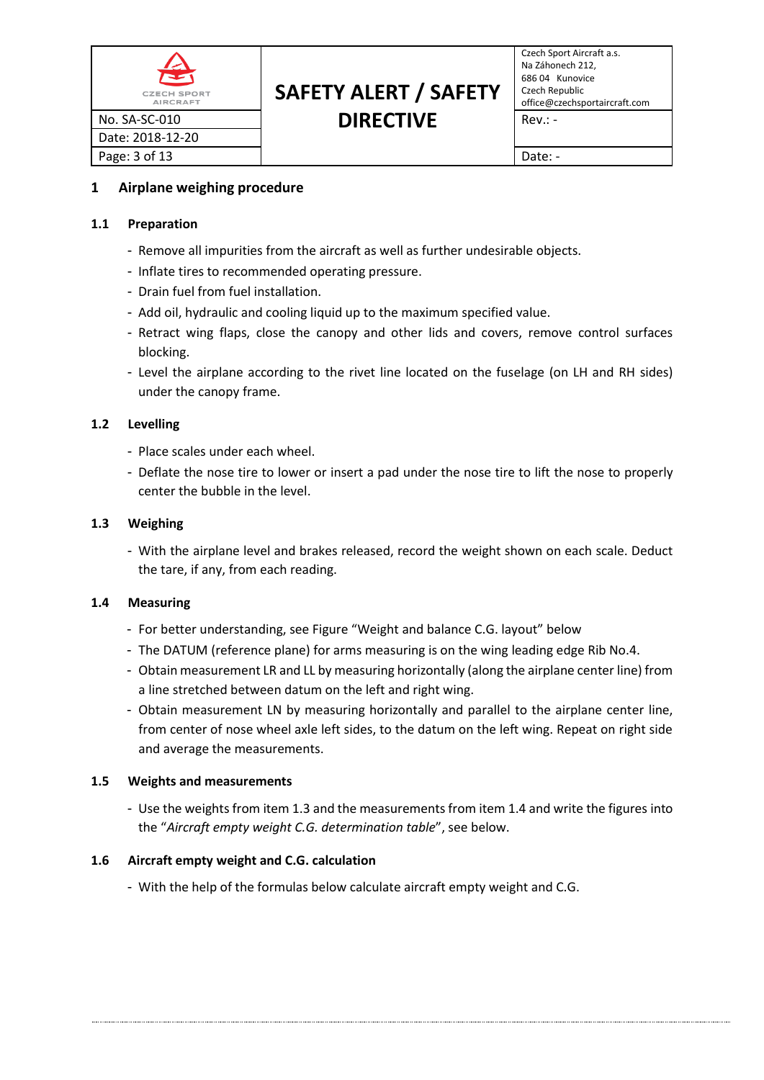| $\clubsuit$<br><b>CZECH SPORT</b><br><b>AIRCRAFT</b> | <b>SAFETY ALERT / SAFETY</b> | Czech Sp<br>Na Záhor<br>686 04  <br>Czech Re<br>office@c |
|------------------------------------------------------|------------------------------|----------------------------------------------------------|
| No. SA-SC-010                                        | <b>DIRECTIVE</b>             | $Rev: -$                                                 |
| Date: 2018-12-20                                     |                              |                                                          |
| Page: 3 of 13                                        |                              | Date: -                                                  |

# **SAFETY ALERT / SAFETY DIRECTIVE** Rev.: -

Czech Sport Aircraft a.s. Na Záhonech 212, 686 04 Kunovice Czech Republic office@czechsportaircraft.com

# **1 Airplane weighing procedure**

### **1.1 Preparation**

- Remove all impurities from the aircraft as well as further undesirable objects.
- Inflate tires to recommended operating pressure.
- Drain fuel from fuel installation.
- Add oil, hydraulic and cooling liquid up to the maximum specified value.
- Retract wing flaps, close the canopy and other lids and covers, remove control surfaces blocking.
- Level the airplane according to the rivet line located on the fuselage (on LH and RH sides) under the canopy frame.

# **1.2 Levelling**

- Place scales under each wheel.
- Deflate the nose tire to lower or insert a pad under the nose tire to lift the nose to properly center the bubble in the level.

### **1.3 Weighing**

- With the airplane level and brakes released, record the weight shown on each scale. Deduct the tare, if any, from each reading.

# **1.4 Measuring**

- For better understanding, see Figure "Weight and balance C.G. layout" below
- The DATUM (reference plane) for arms measuring is on the wing leading edge Rib No.4.
- Obtain measurement LR and LL by measuring horizontally (along the airplane center line) from a line stretched between datum on the left and right wing.
- Obtain measurement LN by measuring horizontally and parallel to the airplane center line, from center of nose wheel axle left sides, to the datum on the left wing. Repeat on right side and average the measurements.

#### **1.5 Weights and measurements**

- Use the weights from item 1.3 and the measurements from item 1.4 and write the figures into the "*Aircraft empty weight C.G. determination table*", see below.

# **1.6 Aircraft empty weight and C.G. calculation**

- With the help of the formulas below calculate aircraft empty weight and C.G.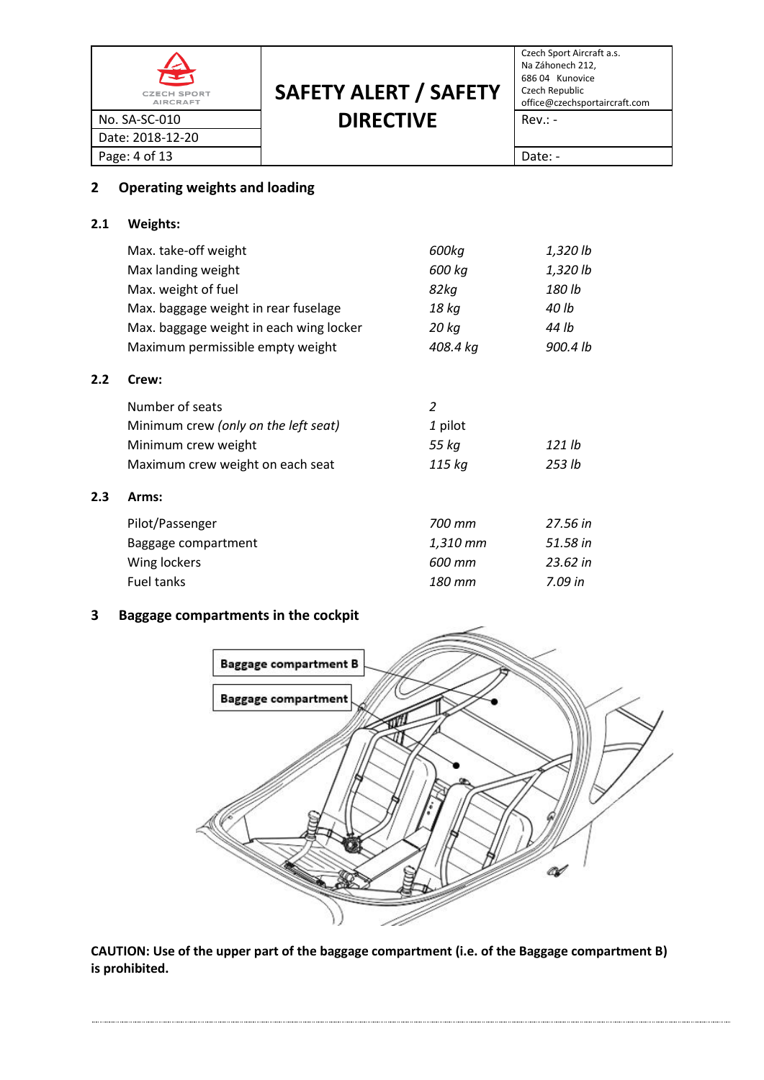| $\hat{\mathbf{r}}$<br><b>CZECH SPORT</b><br><b>AIRCRAFT</b> | <b>SAFETY ALERT / SAFETY</b> | Czech Sport Aircraft a.s.<br>Na Záhonech 212,<br>686 04 Kunovice<br>Czech Republic<br>office@czechsportaircraft.com |
|-------------------------------------------------------------|------------------------------|---------------------------------------------------------------------------------------------------------------------|
| No. SA-SC-010                                               | <b>DIRECTIVE</b>             | $Rev: -$                                                                                                            |
| Date: 2018-12-20                                            |                              |                                                                                                                     |
| Page: 4 of 13                                               |                              | Date: -                                                                                                             |

# **2 Operating weights and loading**

# **2.1 Weights:**

|     | Max. take-off weight                    | 600kg    | 1,320 lb |
|-----|-----------------------------------------|----------|----------|
|     | Max landing weight                      | 600 kg   | 1,320 lb |
|     | Max. weight of fuel                     | 82kg     | 180 lb   |
|     | Max. baggage weight in rear fuselage    | 18 kg    | 40 lb    |
|     | Max. baggage weight in each wing locker | 20 kg    | 44 lb    |
|     | Maximum permissible empty weight        | 408.4 kg | 900.4 lb |
| 2.2 | Crew:                                   |          |          |
|     | Number of seats                         | 2        |          |
|     | Minimum crew (only on the left seat)    | 1 pilot  |          |
|     | Minimum crew weight                     | 55 kg    | 121 lb   |
|     | Maximum crew weight on each seat        | 115 kg   | 253 lb   |
| 2.3 | Arms:                                   |          |          |
|     | Pilot/Passenger                         | 700 mm   | 27.56 in |
|     | Baggage compartment                     | 1,310 mm | 51.58 in |
|     | Wing lockers                            | 600 mm   | 23.62 in |
|     | Fuel tanks                              | 180 mm   | 7.09 in  |

# **3 Baggage compartments in the cockpit**



**CAUTION: Use of the upper part of the baggage compartment (i.e. of the Baggage compartment B) is prohibited.**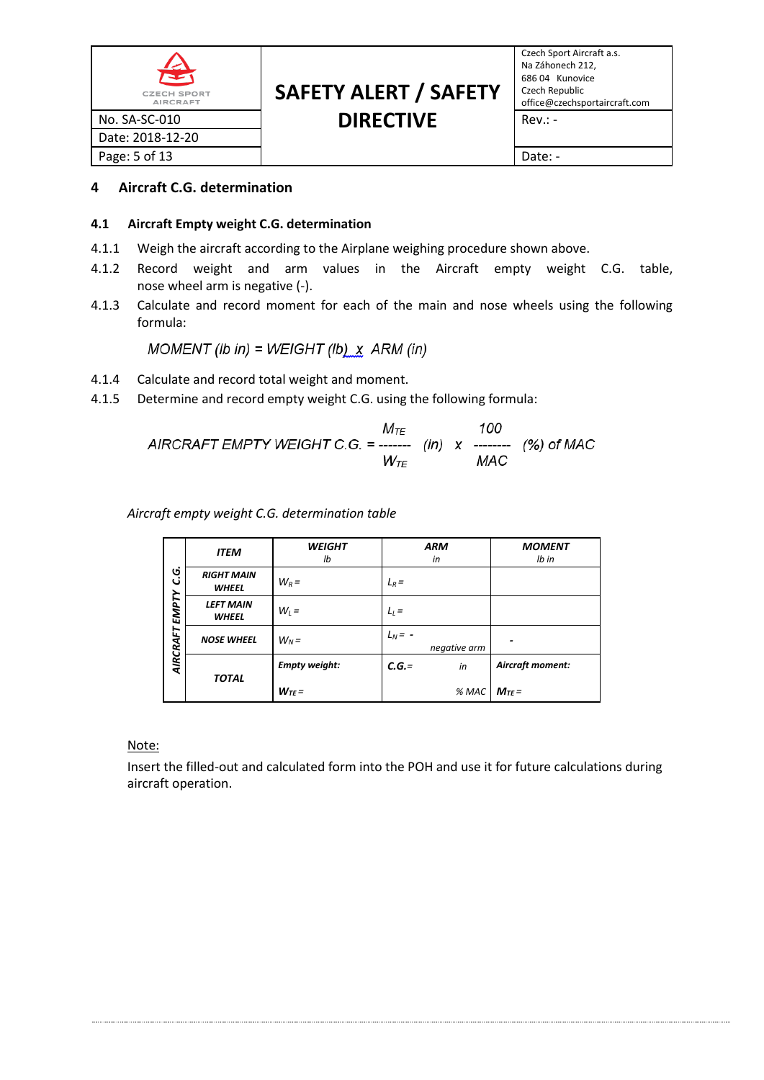| $\hat{\mathbf{r}}$<br><b>CZECH SPORT</b><br><b>AIRCRAFT</b> | <b>SAFETY ALERT / SAFETY</b> | Czech Sport Aircraft a.s.<br>Na Záhonech 212,<br>686 04 Kunovice<br>Czech Republic<br>office@czechsportaircraft.com |
|-------------------------------------------------------------|------------------------------|---------------------------------------------------------------------------------------------------------------------|
| No. SA-SC-010                                               | <b>DIRECTIVE</b>             | $Rev: -$                                                                                                            |
| Date: 2018-12-20                                            |                              |                                                                                                                     |
| Page: 5 of 13                                               |                              | Date: -                                                                                                             |

# **4 Aircraft C.G. determination**

#### **4.1 Aircraft Empty weight C.G. determination**

- 4.1.1 Weigh the aircraft according to the Airplane weighing procedure shown above.
- 4.1.2 Record weight and arm values in the Aircraft empty weight C.G. table, nose wheel arm is negative (-).
- 4.1.3 Calculate and record moment for each of the main and nose wheels using the following formula:

MOMENT (lb in) = WEIGHT (lb)  $x$  ARM (in)

- 4.1.4 Calculate and record total weight and moment.
- 4.1.5 Determine and record empty weight C.G. using the following formula:

$$
M_{TE}
$$
 100  
AIRCRAFT EMPTY WEIGHT C.G. = 1117 (in) x 100  

$$
W_{TE}
$$
 100  
MAC

*Aircraft empty weight C.G. determination table*

|          | <b>ITEM</b>                       | <b>WEIGHT</b><br>lb  | <b>ARM</b><br>in          | <b>MOMENT</b><br>$Ib$ in |
|----------|-----------------------------------|----------------------|---------------------------|--------------------------|
| ن<br>ن   | <b>RIGHT MAIN</b><br><b>WHEEL</b> | $W_R =$              | $L_R =$                   |                          |
| EMPTY    | <b>LEFT MAIN</b><br><b>WHEEL</b>  | $W_i =$              | $L_l =$                   |                          |
| AIRCRAFT | <b>NOSE WHEEL</b>                 | $W_N =$              | $L_N = -$<br>negative arm |                          |
|          | <b>TOTAL</b>                      | <b>Empty weight:</b> | $C.G. =$<br>in            | Aircraft moment:         |
|          |                                   | $W_{TE}$ =           | % MAC                     | $M_{TE}$ =               |

Note:

Insert the filled-out and calculated form into the POH and use it for future calculations during aircraft operation.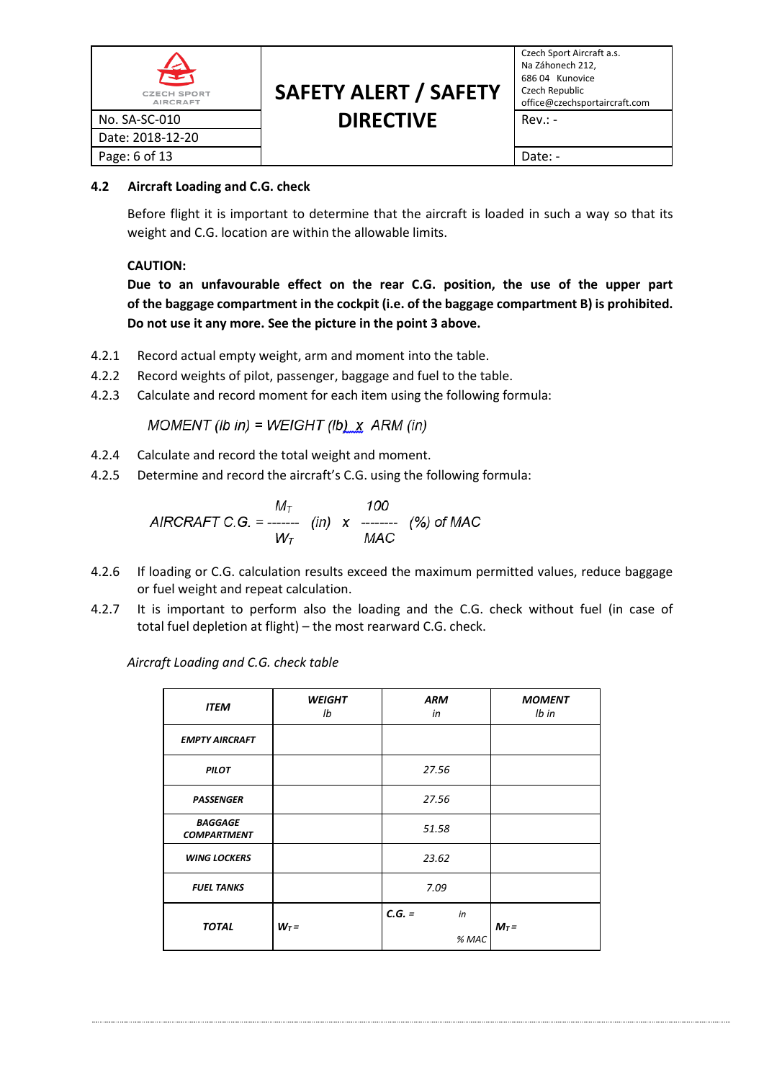| $\blacktriangleright$<br><b>CZECH SPORT</b><br><b>AIRCRAFT</b> | <b>SAFETY ALERT / SAFETY</b> | Czech Sp<br>Na Záhor<br>686 04  <br>Czech Re<br>office@c |
|----------------------------------------------------------------|------------------------------|----------------------------------------------------------|
| No. SA-SC-010                                                  | <b>DIRECTIVE</b>             | $Rev: -$                                                 |
| Date: 2018-12-20                                               |                              |                                                          |
| Page: 6 of 13                                                  |                              | Date: -                                                  |

# **SAFETY ALERT / SAFETY DIRECTIVE** Rev.: -

# **4.2 Aircraft Loading and C.G. check**

Before flight it is important to determine that the aircraft is loaded in such a way so that its weight and C.G. location are within the allowable limits.

# **CAUTION:**

**Due to an unfavourable effect on the rear C.G. position, the use of the upper part of the baggage compartment in the cockpit (i.e. of the baggage compartment B) is prohibited. Do not use it any more. See the picture in the point 3 above.**

- 4.2.1 Record actual empty weight, arm and moment into the table.
- 4.2.2 Record weights of pilot, passenger, baggage and fuel to the table.
- 4.2.3 Calculate and record moment for each item using the following formula:

MOMENT (lb in) = WEIGHT (lb)  $x$  ARM (in)

- 4.2.4 Calculate and record the total weight and moment.
- 4.2.5 Determine and record the aircraft's C.G. using the following formula:

$$
AIRCRAFT C.G. = \frac{M_{T}}{W_{T}}
$$
 (in) x 100  
  $W_{T}$  (%) of MAC

- 4.2.6 If loading or C.G. calculation results exceed the maximum permitted values, reduce baggage or fuel weight and repeat calculation.
- 4.2.7 It is important to perform also the loading and the C.G. check without fuel (in case of total fuel depletion at flight) – the most rearward C.G. check.

*Aircraft Loading and C.G. check table*

| <b>ITEM</b>                          | <b>WEIGHT</b><br>lb | <b>ARM</b><br>in | <b>MOMENT</b><br>lb in |
|--------------------------------------|---------------------|------------------|------------------------|
| <b>EMPTY AIRCRAFT</b>                |                     |                  |                        |
| <b>PILOT</b>                         |                     | 27.56            |                        |
| <b>PASSENGER</b>                     |                     | 27.56            |                        |
| <b>BAGGAGE</b><br><b>COMPARTMENT</b> |                     | 51.58            |                        |
| <b>WING LOCKERS</b>                  |                     | 23.62            |                        |
| <b>FUEL TANKS</b>                    |                     | 7.09             |                        |
| <b>TOTAL</b>                         | $W_T =$             | $C.G. =$<br>in   | $M_T =$                |
|                                      |                     | % MAC            |                        |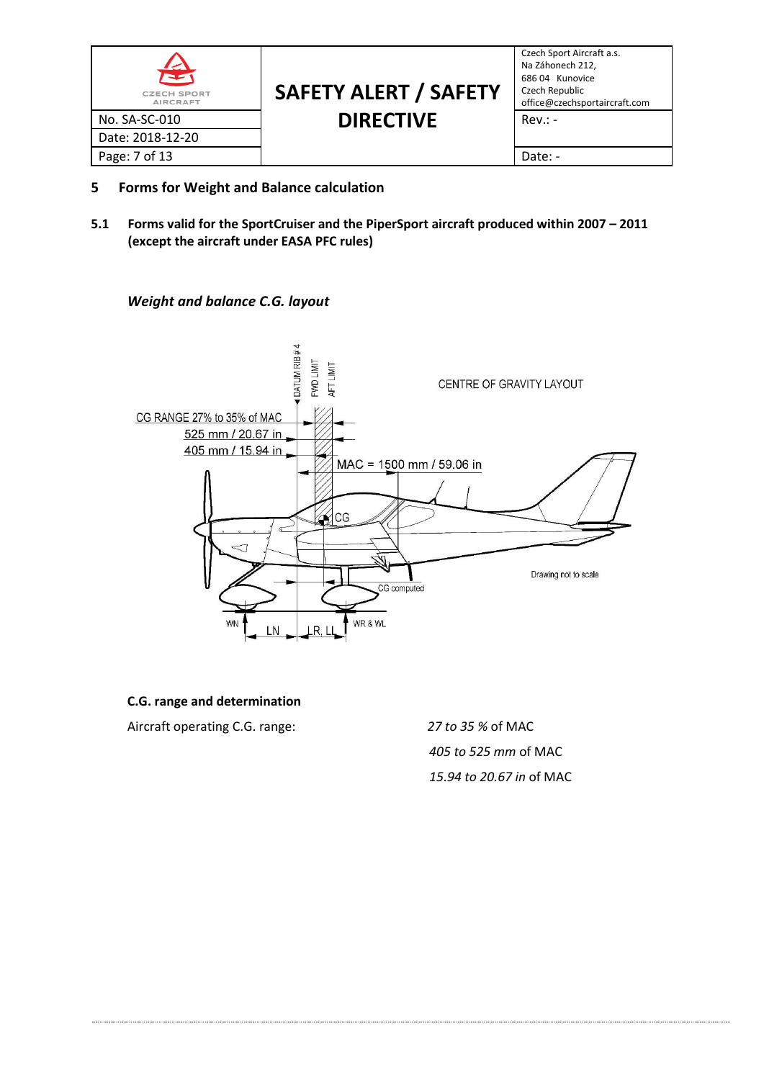| 全<br><b>CZECH SPORT</b><br><b>AIRCRAFT</b> | <b>SAFETY ALERT / SAFETY</b> | Czech Sport Aircraft a.s.<br>Na Záhonech 212,<br>686 04 Kunovice<br>Czech Republic<br>office@czechsportaircraft.com |
|--------------------------------------------|------------------------------|---------------------------------------------------------------------------------------------------------------------|
| No. SA-SC-010                              | <b>DIRECTIVE</b>             | $Rev: -$                                                                                                            |
| Date: 2018-12-20                           |                              |                                                                                                                     |
| Page: 7 of 13                              |                              | Date: -                                                                                                             |

- **5 Forms for Weight and Balance calculation**
- **5.1 Forms valid for the SportCruiser and the PiperSport aircraft produced within 2007 – 2011 (except the aircraft under EASA PFC rules)**

## *Weight and balance C.G. layout*



#### **C.G. range and determination**

Aircraft operating C.G. range: *27 to 35 %* of MAC

*405 to 525 mm* of MAC *15.94 to 20.67 in* of MAC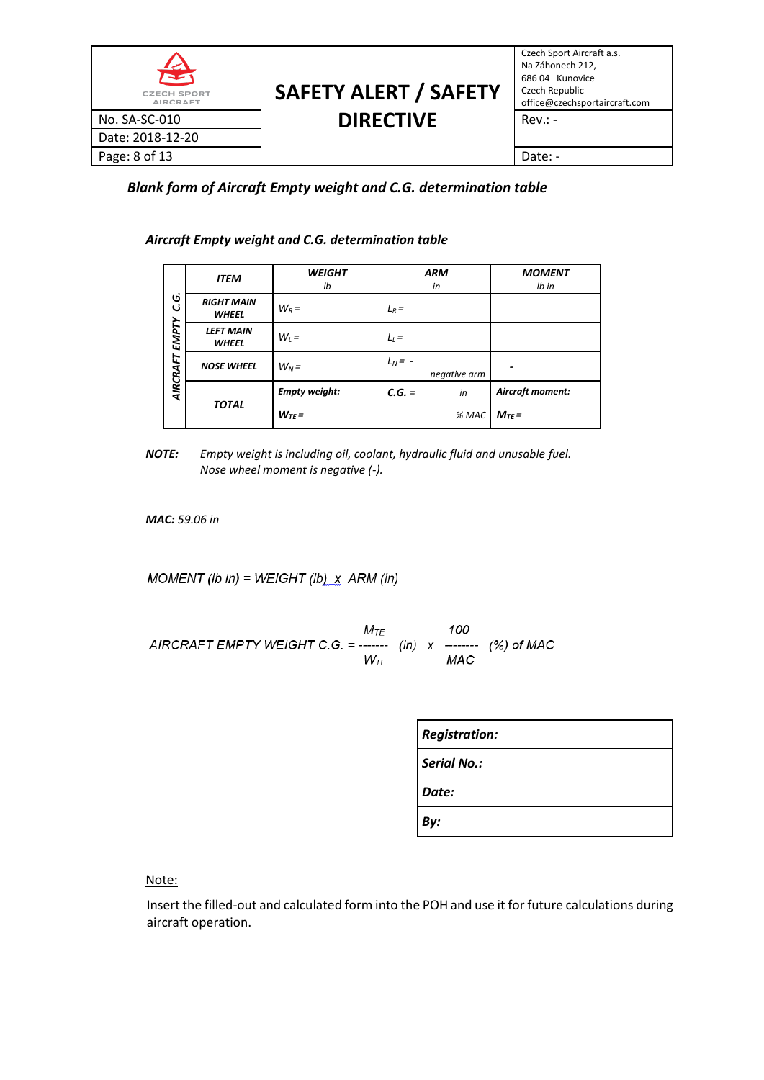| 全<br><b>CZECH SPORT</b><br><b>AIRCRAFT</b> | <b>SAFETY ALERT / SAFETY</b> | Czech Sport Aircraft a.s.<br>Na Záhonech 212,<br>686 04 Kunovice<br>Czech Republic<br>office@czechsportaircraft.com |
|--------------------------------------------|------------------------------|---------------------------------------------------------------------------------------------------------------------|
| No. SA-SC-010                              | <b>DIRECTIVE</b>             | $Rev: -$                                                                                                            |
| Date: 2018-12-20                           |                              |                                                                                                                     |
| Page: 8 of 13                              |                              | Date: -                                                                                                             |

*Blank form of Aircraft Empty weight and C.G. determination table*

*Aircraft Empty weight and C.G. determination table*

| Ġ<br>ن<br><b>EMPTY</b><br>AIRCRAFT | <b>ITEM</b>                       | <b>WEIGHT</b><br>lb  | <b>ARM</b><br>in          | <b>MOMENT</b><br>$Ib$ in |
|------------------------------------|-----------------------------------|----------------------|---------------------------|--------------------------|
|                                    | <b>RIGHT MAIN</b><br><b>WHEEL</b> | $W_R =$              | $L_R =$                   |                          |
|                                    | <b>LEFT MAIN</b><br><b>WHEEL</b>  | $W_i =$              | $L_l =$                   |                          |
|                                    | <b>NOSE WHEEL</b>                 | $W_N =$              | $L_N = -$<br>negative arm |                          |
|                                    | <b>TOTAL</b><br>$W_{TF}$ =        | <b>Empty weight:</b> | $C.G. =$<br>in            | Aircraft moment:         |
|                                    |                                   |                      | % MAC                     | $M_{TF}$ =               |

*NOTE: Empty weight is including oil, coolant, hydraulic fluid and unusable fuel. Nose wheel moment is negative (-).*

*MAC: 59.06 in*

MOMENT (Ib in) = WEIGHT (Ib)  $X$  ARM (in)

 $M_{TE}$ 100 AIRCRAFT EMPTY WEIGHT C.G. = -------  $(in)$  x ------- (%) of MAC  $W_{TE}$ MAC

| <b>Registration:</b> |
|----------------------|
| <b>Serial No.:</b>   |
| Date:                |
| By:                  |

Note:

Insert the filled-out and calculated form into the POH and use it for future calculations during aircraft operation.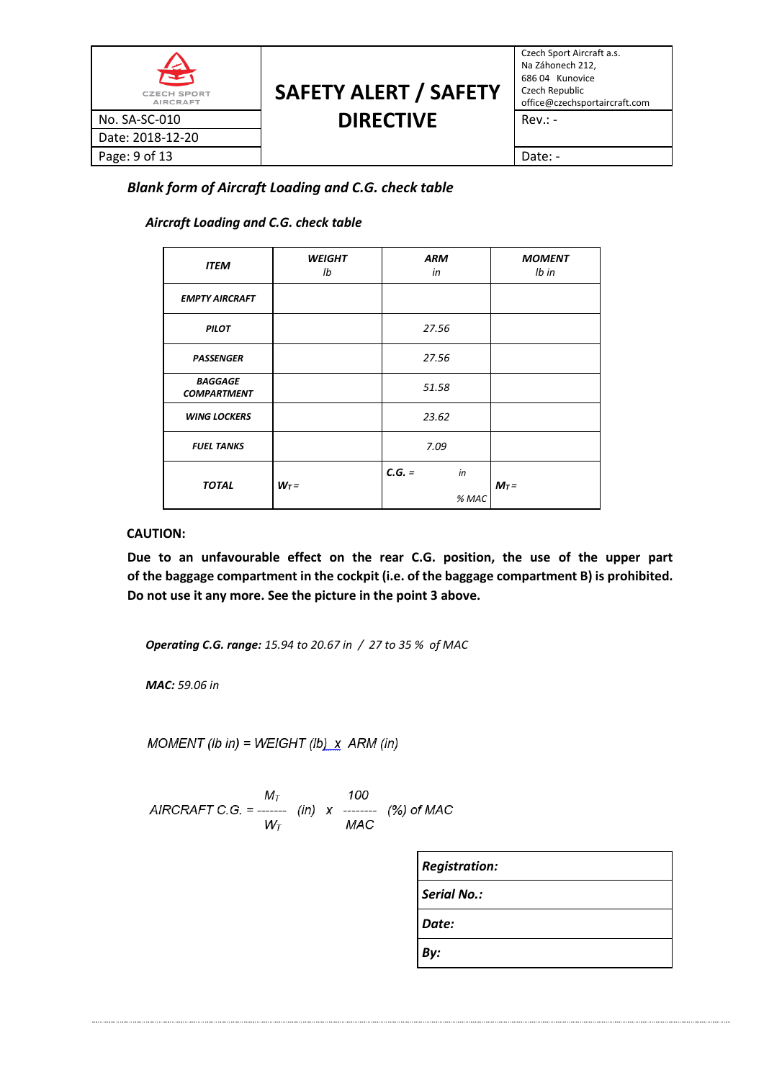| 全<br><b>CZECH SPORT</b><br><b>AIRCRAFT</b> | <b>SAFETY ALERT / SAFETY</b> | Czech Sport Aircraft a.s.<br>Na Záhonech 212,<br>686 04 Kunovice<br>Czech Republic<br>office@czechsportaircraft.com |
|--------------------------------------------|------------------------------|---------------------------------------------------------------------------------------------------------------------|
| No. SA-SC-010                              | <b>DIRECTIVE</b>             | $Rev: -$                                                                                                            |
| Date: 2018-12-20                           |                              |                                                                                                                     |
| Page: 9 of 13                              |                              | Date: -                                                                                                             |

*Blank form of Aircraft Loading and C.G. check table*

# *Aircraft Loading and C.G. check table*

| <b>ITEM</b>                          | <b>WEIGHT</b><br>lb | <b>ARM</b><br>in |       | <b>MOMENT</b><br>$Ib$ in |
|--------------------------------------|---------------------|------------------|-------|--------------------------|
| <b>EMPTY AIRCRAFT</b>                |                     |                  |       |                          |
| <b>PILOT</b>                         |                     | 27.56            |       |                          |
| <b>PASSENGER</b>                     |                     | 27.56            |       |                          |
| <b>BAGGAGE</b><br><b>COMPARTMENT</b> |                     | 51.58            |       |                          |
| <b>WING LOCKERS</b>                  |                     | 23.62            |       |                          |
| <b>FUEL TANKS</b>                    |                     | 7.09             |       |                          |
| <b>TOTAL</b>                         | $W_T =$             | $C.G. =$         | in    | $M_T =$                  |
|                                      |                     |                  | % MAC |                          |

#### **CAUTION:**

**Due to an unfavourable effect on the rear C.G. position, the use of the upper part of the baggage compartment in the cockpit (i.e. of the baggage compartment B) is prohibited. Do not use it any more. See the picture in the point 3 above.**

*Operating C.G. range: 15.94 to 20.67 in / 27 to 35 % of MAC*

*MAC: 59.06 in*

MOMENT (Ib in) = WEIGHT (Ib)  $X$  ARM (in)

|                                                        | Mт                                  |  | 100 |  |
|--------------------------------------------------------|-------------------------------------|--|-----|--|
| AIRCRAFT C.G. = ------- $(in)$ x ------- $(\%)$ of MAC |                                     |  |     |  |
|                                                        | $W_{\scriptscriptstyle\mathcal{T}}$ |  | MAC |  |

| <b>Registration:</b> |
|----------------------|
| Serial No.:          |
| Date:                |
| By:                  |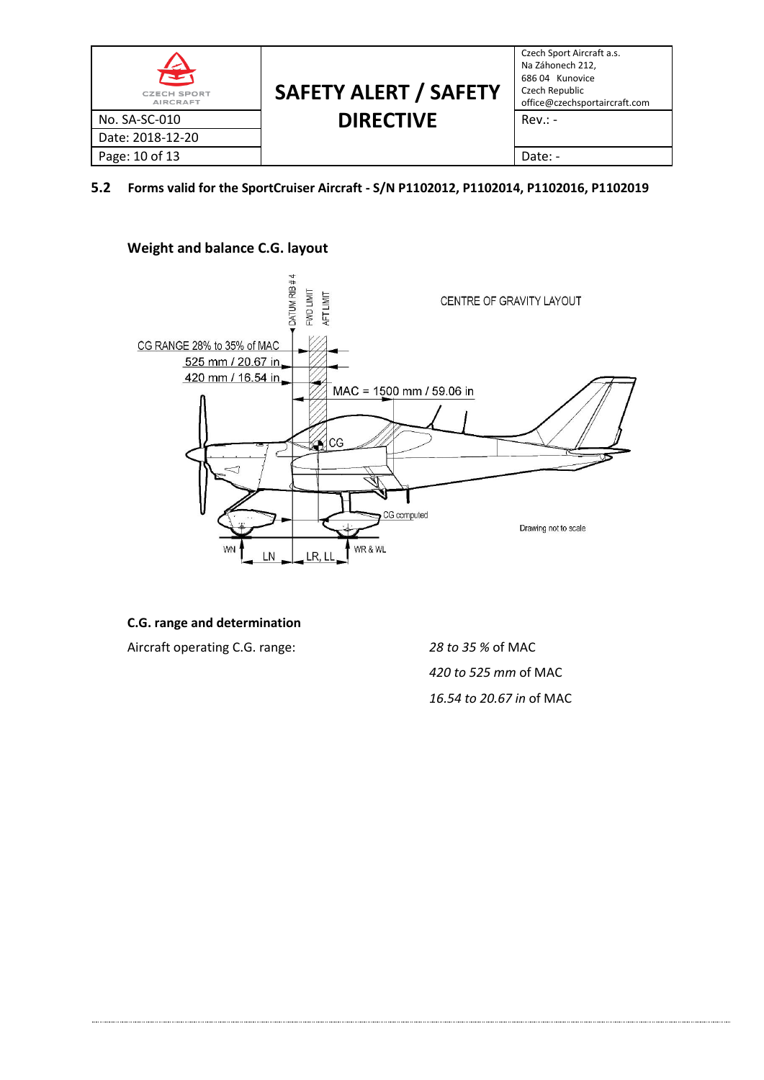| 全<br><b>CZECH SPORT</b><br><b>AIRCRAFT</b> | <b>SAFETY ALERT / SAFETY</b> | Czech Sport Aircraft a.s.<br>Na Záhonech 212,<br>686 04 Kunovice<br>Czech Republic<br>office@czechsportaircraft.com |
|--------------------------------------------|------------------------------|---------------------------------------------------------------------------------------------------------------------|
| No. SA-SC-010                              | <b>DIRECTIVE</b>             | $Rev: -$                                                                                                            |
| Date: 2018-12-20                           |                              |                                                                                                                     |
| Page: 10 of 13                             |                              | Date: -                                                                                                             |

**5.2 Forms valid for the SportCruiser Aircraft - S/N P1102012, P1102014, P1102016, P1102019**

# **Weight and balance C.G. layout**



# **C.G. range and determination**

Aircraft operating C.G. range: *28 to 35 %* of MAC

*420 to 525 mm* of MAC *16.54 to 20.67 in* of MAC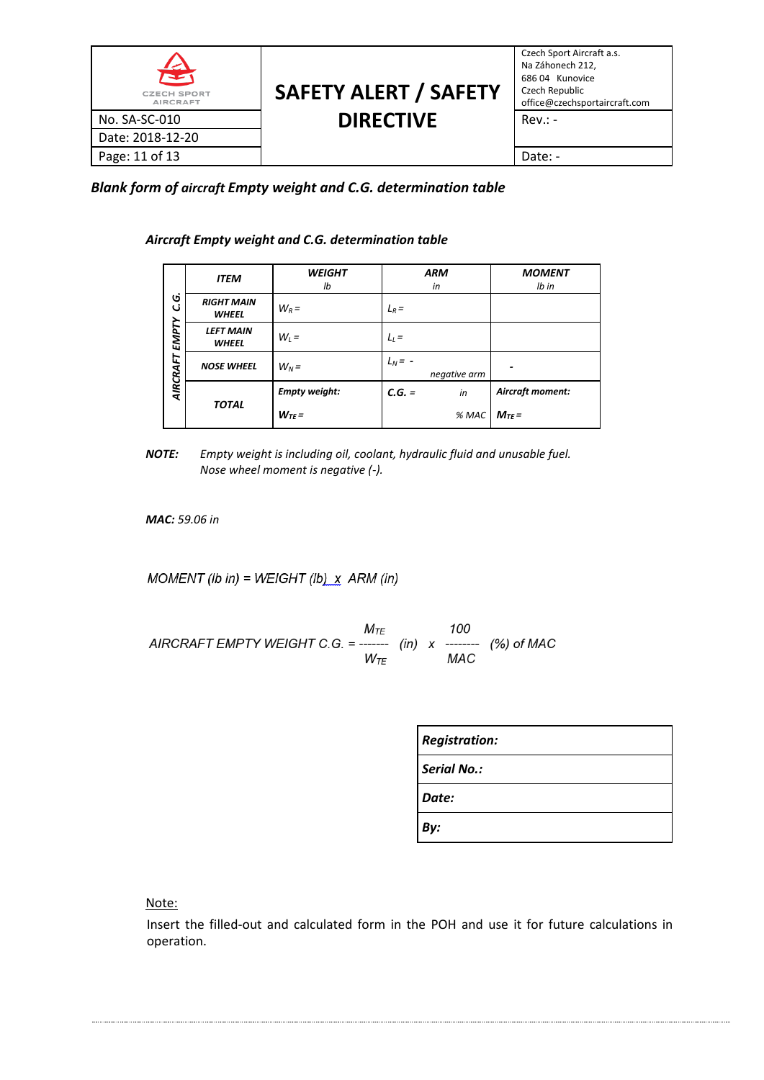| 全<br><b>CZECH SPORT</b><br><b>AIRCRAFT</b> | <b>SAFETY ALERT / SAFETY</b> | Czech Sport Aircraft a.s.<br>Na Záhonech 212,<br>686 04 Kunovice<br>Czech Republic<br>office@czechsportaircraft.com |
|--------------------------------------------|------------------------------|---------------------------------------------------------------------------------------------------------------------|
| No. SA-SC-010                              | <b>DIRECTIVE</b>             | $Rev: -$                                                                                                            |
| Date: 2018-12-20                           |                              |                                                                                                                     |
| Page: 11 of 13                             |                              | Date: -                                                                                                             |

*Blank form of aircraft Empty weight and C.G. determination table*

*Aircraft Empty weight and C.G. determination table*

| Ġ<br>ت<br>EMPTY<br>AIRCRAFT | <b>ITEM</b>                       | <b>WEIGHT</b><br>Ib  | <b>ARM</b><br>in          | <b>MOMENT</b><br>$Ib$ in |
|-----------------------------|-----------------------------------|----------------------|---------------------------|--------------------------|
|                             | <b>RIGHT MAIN</b><br><b>WHEEL</b> | $W_R =$              | $L_R =$                   |                          |
|                             | <b>LEFT MAIN</b><br><b>WHEEL</b>  | $W_i =$              | $L_l =$                   |                          |
|                             | <b>NOSE WHEEL</b>                 | $W_N =$              | $L_N = -$<br>negative arm |                          |
|                             | <b>TOTAL</b>                      | <b>Empty weight:</b> | $C.G. =$<br>in            | Aircraft moment:         |
|                             |                                   | $W_{TF}$ =           | % MAC                     | $M_{TE}$ =               |

*NOTE: Empty weight is including oil, coolant, hydraulic fluid and unusable fuel. Nose wheel moment is negative (-).*

*MAC: 59.06 in*

MOMENT (Ib in) = WEIGHT (Ib)  $X$  ARM (in)

 $\begin{array}{cc} & M_{TE} & 100 \\ AIRCRAFT EMPTYWEIGHT C.G. = {........} \quad (in) \quad x 100 \\ & W_{TE} & MAC \end{array}$ 

| <b>Registration:</b> |
|----------------------|
| Serial No.:          |
| Date:                |
| Bv:                  |

Note:

Insert the filled-out and calculated form in the POH and use it for future calculations in operation.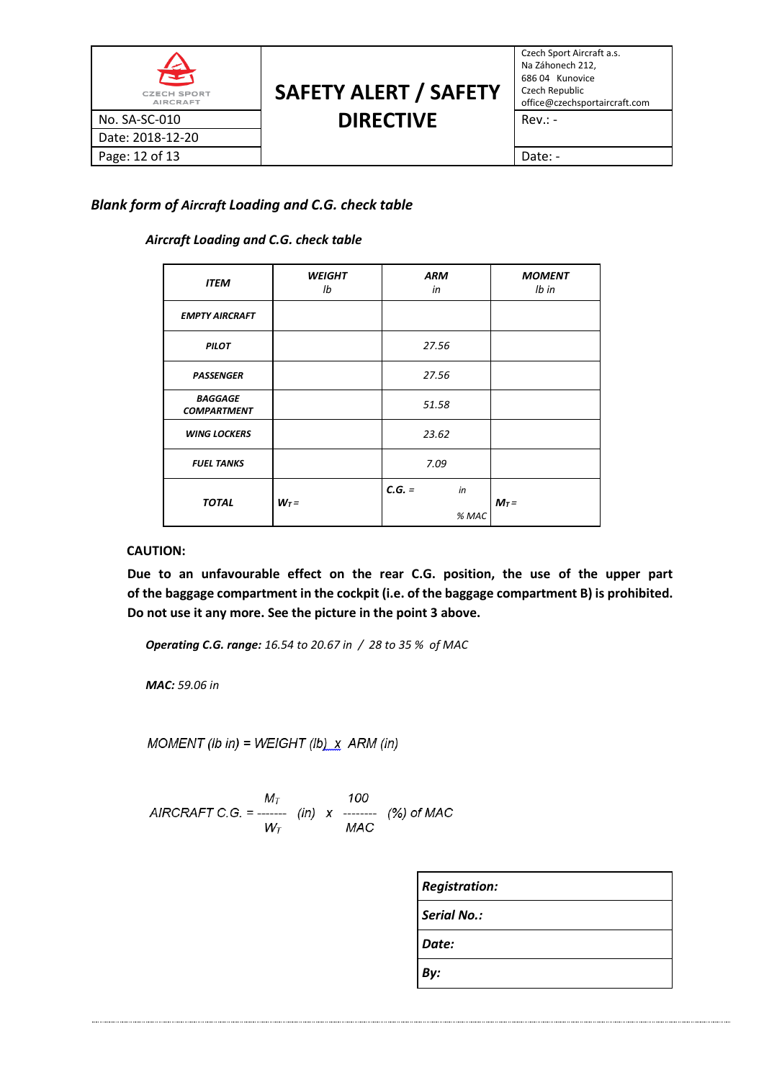| $\hat{\mathbf{z}}$<br><b>CZECH SPORT</b><br><b>AIRCRAFT</b> | <b>SAFETY ALERT / SAFETY</b> | Czech Sport Aircraft a.s.<br>Na Záhonech 212,<br>686 04 Kunovice<br>Czech Republic<br>office@czechsportaircraft.com |
|-------------------------------------------------------------|------------------------------|---------------------------------------------------------------------------------------------------------------------|
| No. SA-SC-010                                               | <b>DIRECTIVE</b>             | $Rev: -$                                                                                                            |
| Date: 2018-12-20                                            |                              |                                                                                                                     |
| Page: 12 of 13                                              |                              | Date: -                                                                                                             |

# *Blank form of Aircraft Loading and C.G. check table*

# *Aircraft Loading and C.G. check table*

| <b>ITEM</b>                          | <b>WEIGHT</b><br>lb | <b>ARM</b><br>in |       | <b>MOMENT</b><br>$Ib$ in |
|--------------------------------------|---------------------|------------------|-------|--------------------------|
| <b>EMPTY AIRCRAFT</b>                |                     |                  |       |                          |
| <b>PILOT</b>                         |                     | 27.56            |       |                          |
| <b>PASSENGER</b>                     |                     | 27.56            |       |                          |
| <b>BAGGAGE</b><br><b>COMPARTMENT</b> |                     | 51.58            |       |                          |
| <b>WING LOCKERS</b>                  |                     | 23.62            |       |                          |
| <b>FUEL TANKS</b>                    |                     | 7.09             |       |                          |
| <b>TOTAL</b>                         | $W_T =$             | $C.G. =$         | in    | $M_T =$                  |
|                                      |                     |                  | % MAC |                          |

#### **CAUTION:**

**Due to an unfavourable effect on the rear C.G. position, the use of the upper part of the baggage compartment in the cockpit (i.e. of the baggage compartment B) is prohibited. Do not use it any more. See the picture in the point 3 above.**

*Operating C.G. range: 16.54 to 20.67 in / 28 to 35 % of MAC*

*MAC: 59.06 in*

MOMENT (Ib in) = WEIGHT (Ib)  $X$  ARM (in)

$$
AIRCRAFT C.G. = \frac{M_T}{W_T}
$$
 (in) x 100  
MAC  
MAC  
MAC  
MAC

| <b>Registration:</b> |
|----------------------|
| Serial No.:          |
| Date:                |
| By:                  |